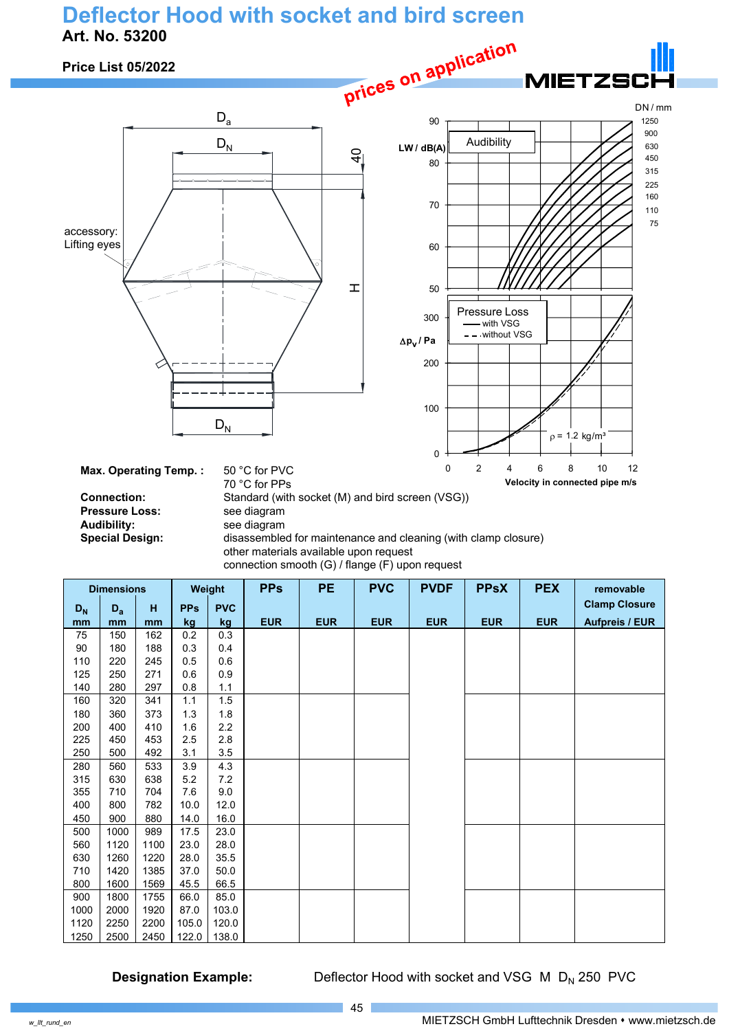#### **Deflector Hood with socket and bird screen Art. No. 53200**



400 800 782 10.0 12.0 450 900 880 14.0 16.0 500 1000 989 17.5 23.0 560 1120 1100 23.0 28.0 630 | 1260 | 1220 | 28.0 | 35.5 710 1420 1385 37.0 50.0 800 | 1600 | 1569 | 45.5 | 66.5 900 | 1800 | 1755 | 66.0 | 85.0 1000 | 2000 | 1920 | 87.0 | 103.0 1120 2250 2200 105.0 120.0 1250 2500 2450 122.0 138.0

**Designation Example:** Deflector Hood with socket and VSG M D<sub>N</sub> 250 PVC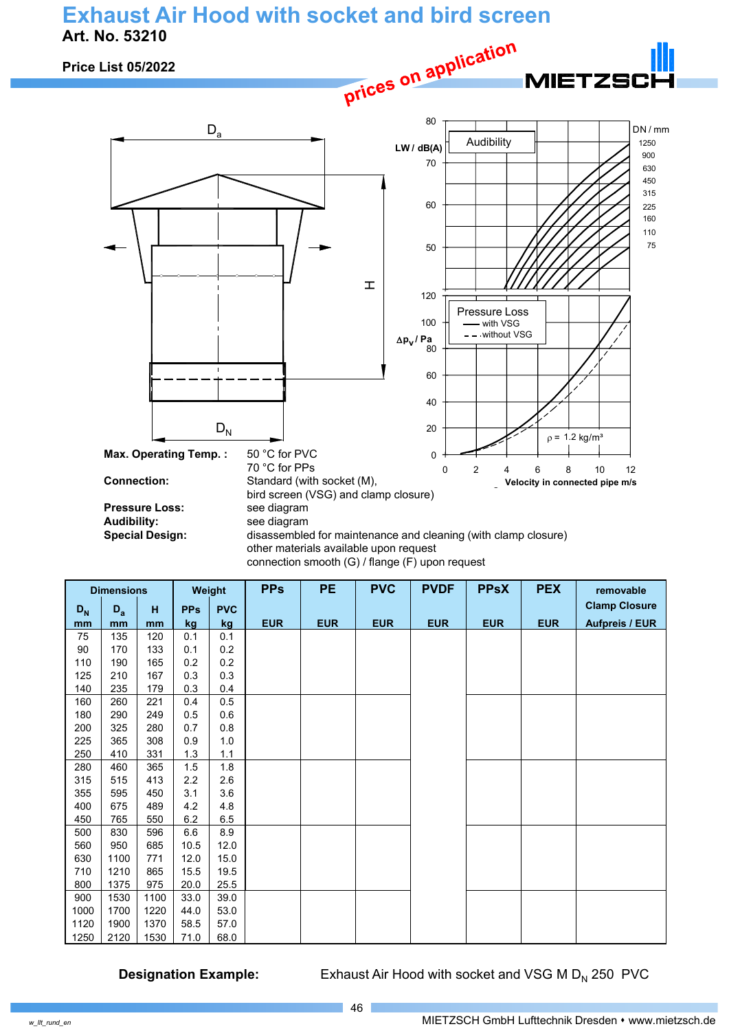## **Exhaust Air Hood with socket and bird screen Art. No. 53210**



connection smooth (G) / flange (F) upon request

| <b>Dimensions</b> |         |      | Weight     | <b>PPs</b> | <b>PE</b>  | <b>PVC</b> | <b>PVDF</b> | <b>PPsX</b> | <b>PEX</b> | removable  |                       |
|-------------------|---------|------|------------|------------|------------|------------|-------------|-------------|------------|------------|-----------------------|
| $D_N$             | $D_{a}$ | н    | <b>PPs</b> | <b>PVC</b> |            |            |             |             |            |            | <b>Clamp Closure</b>  |
| mm                | mm      | mm   | kg         | kg         | <b>EUR</b> | <b>EUR</b> | <b>EUR</b>  | <b>EUR</b>  | <b>EUR</b> | <b>EUR</b> | <b>Aufpreis / EUR</b> |
| 75                | 135     | 120  | 0.1        | 0.1        |            |            |             |             |            |            |                       |
| 90                | 170     | 133  | 0.1        | 0.2        |            |            |             |             |            |            |                       |
| 110               | 190     | 165  | 0.2        | 0.2        |            |            |             |             |            |            |                       |
| 125               | 210     | 167  | 0.3        | 0.3        |            |            |             |             |            |            |                       |
| 140               | 235     | 179  | 0.3        | 0.4        |            |            |             |             |            |            |                       |
| 160               | 260     | 221  | 0.4        | 0.5        |            |            |             |             |            |            |                       |
| 180               | 290     | 249  | 0.5        | 0.6        |            |            |             |             |            |            |                       |
| 200               | 325     | 280  | 0.7        | 0.8        |            |            |             |             |            |            |                       |
| 225               | 365     | 308  | 0.9        | 1.0        |            |            |             |             |            |            |                       |
| 250               | 410     | 331  | 1.3        | 1.1        |            |            |             |             |            |            |                       |
| 280               | 460     | 365  | 1.5        | 1.8        |            |            |             |             |            |            |                       |
| 315               | 515     | 413  | 2.2        | 2.6        |            |            |             |             |            |            |                       |
| 355               | 595     | 450  | 3.1        | 3.6        |            |            |             |             |            |            |                       |
| 400               | 675     | 489  | 4.2        | 4.8        |            |            |             |             |            |            |                       |
| 450               | 765     | 550  | 6.2        | 6.5        |            |            |             |             |            |            |                       |
| 500               | 830     | 596  | 6.6        | 8.9        |            |            |             |             |            |            |                       |
| 560               | 950     | 685  | 10.5       | 12.0       |            |            |             |             |            |            |                       |
| 630               | 1100    | 771  | 12.0       | 15.0       |            |            |             |             |            |            |                       |
| 710               | 1210    | 865  | 15.5       | 19.5       |            |            |             |             |            |            |                       |
| 800               | 1375    | 975  | 20.0       | 25.5       |            |            |             |             |            |            |                       |
| 900               | 1530    | 1100 | 33.0       | 39.0       |            |            |             |             |            |            |                       |
| 1000              | 1700    | 1220 | 44.0       | 53.0       |            |            |             |             |            |            |                       |
| 1120              | 1900    | 1370 | 58.5       | 57.0       |            |            |             |             |            |            |                       |
| 1250              | 2120    | 1530 | 71.0       | 68.0       |            |            |             |             |            |            |                       |

**Designation Example:** Exhaust Air Hood with socket and VSG M D<sub>N</sub> 250 PVC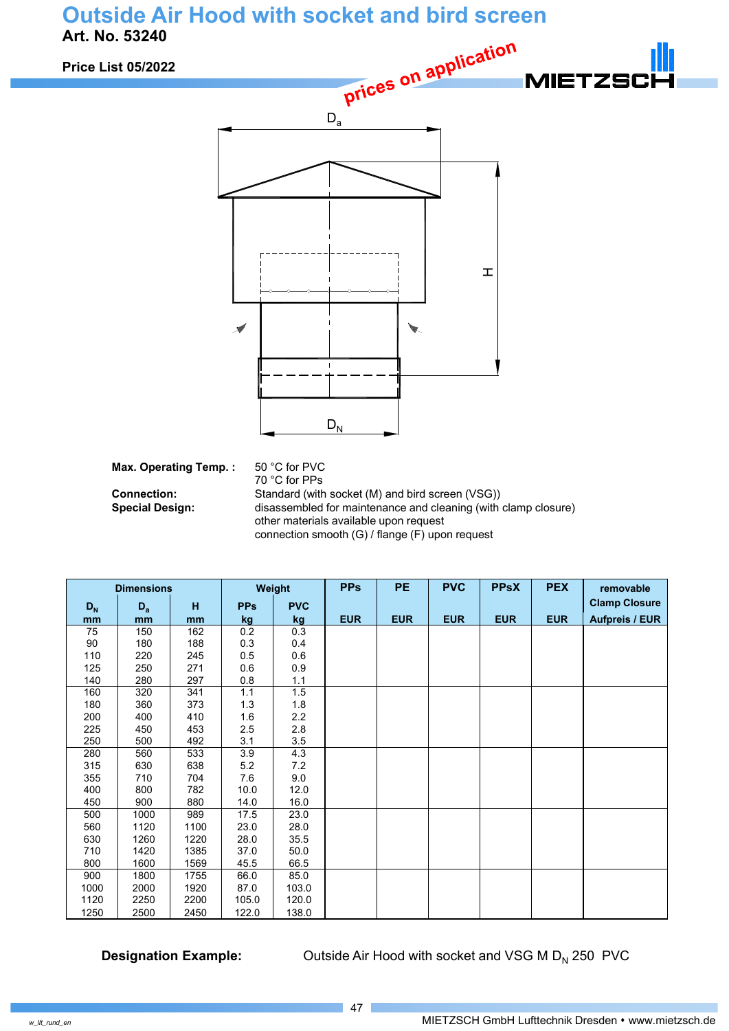## **Outside Air Hood with socket and bird screen Art. No. 53240**

**Prices on application Price List 05/2022 MIETZS**  $\mathbf{I}$  $\overline{\mathscr{N}}$ ▼  $D_N$ **Max. Operating Temp. :** 50 °C for PVC

70 °C for PPs **Connection:** Standard (with socket (M) and bird screen (VSG)) **Special Design:** disassembled for maintenance and cleaning (with clamp closure) other materials available upon request connection smooth (G) / flange (F) upon request

| <b>Dimensions</b>         |       |      | Weight     |            | <b>PPs</b> | <b>PE</b>  | <b>PVC</b> | <b>PPSX</b> | <b>PEX</b> | removable             |
|---------------------------|-------|------|------------|------------|------------|------------|------------|-------------|------------|-----------------------|
| $\mathsf{D}_{\mathsf{N}}$ | $D_a$ | н    | <b>PPs</b> | <b>PVC</b> |            |            |            |             |            | <b>Clamp Closure</b>  |
| mm                        | mm    | mm   | kg         | kg         | <b>EUR</b> | <b>EUR</b> | <b>EUR</b> | <b>EUR</b>  | <b>EUR</b> | <b>Aufpreis / EUR</b> |
| 75                        | 150   | 162  | 0.2        | 0.3        |            |            |            |             |            |                       |
| 90                        | 180   | 188  | 0.3        | 0.4        |            |            |            |             |            |                       |
| 110                       | 220   | 245  | 0.5        | 0.6        |            |            |            |             |            |                       |
| 125                       | 250   | 271  | 0.6        | 0.9        |            |            |            |             |            |                       |
| 140                       | 280   | 297  | 0.8        | 1.1        |            |            |            |             |            |                       |
| 160                       | 320   | 341  | 1.1        | 1.5        |            |            |            |             |            |                       |
| 180                       | 360   | 373  | 1.3        | 1.8        |            |            |            |             |            |                       |
| 200                       | 400   | 410  | 1.6        | 2.2        |            |            |            |             |            |                       |
| 225                       | 450   | 453  | 2.5        | 2.8        |            |            |            |             |            |                       |
| 250                       | 500   | 492  | 3.1        | 3.5        |            |            |            |             |            |                       |
| 280                       | 560   | 533  | 3.9        | 4.3        |            |            |            |             |            |                       |
| 315                       | 630   | 638  | 5.2        | 7.2        |            |            |            |             |            |                       |
| 355                       | 710   | 704  | 7.6        | 9.0        |            |            |            |             |            |                       |
| 400                       | 800   | 782  | 10.0       | 12.0       |            |            |            |             |            |                       |
| 450                       | 900   | 880  | 14.0       | 16.0       |            |            |            |             |            |                       |
| 500                       | 1000  | 989  | 17.5       | 23.0       |            |            |            |             |            |                       |
| 560                       | 1120  | 1100 | 23.0       | 28.0       |            |            |            |             |            |                       |
| 630                       | 1260  | 1220 | 28.0       | 35.5       |            |            |            |             |            |                       |
| 710                       | 1420  | 1385 | 37.0       | 50.0       |            |            |            |             |            |                       |
| 800                       | 1600  | 1569 | 45.5       | 66.5       |            |            |            |             |            |                       |
| 900                       | 1800  | 1755 | 66.0       | 85.0       |            |            |            |             |            |                       |
| 1000                      | 2000  | 1920 | 87.0       | 103.0      |            |            |            |             |            |                       |
| 1120                      | 2250  | 2200 | 105.0      | 120.0      |            |            |            |             |            |                       |
| 1250                      | 2500  | 2450 | 122.0      | 138.0      |            |            |            |             |            |                       |

**Designation Example:** Outside Air Hood with socket and VSG M D<sub>N</sub> 250 PVC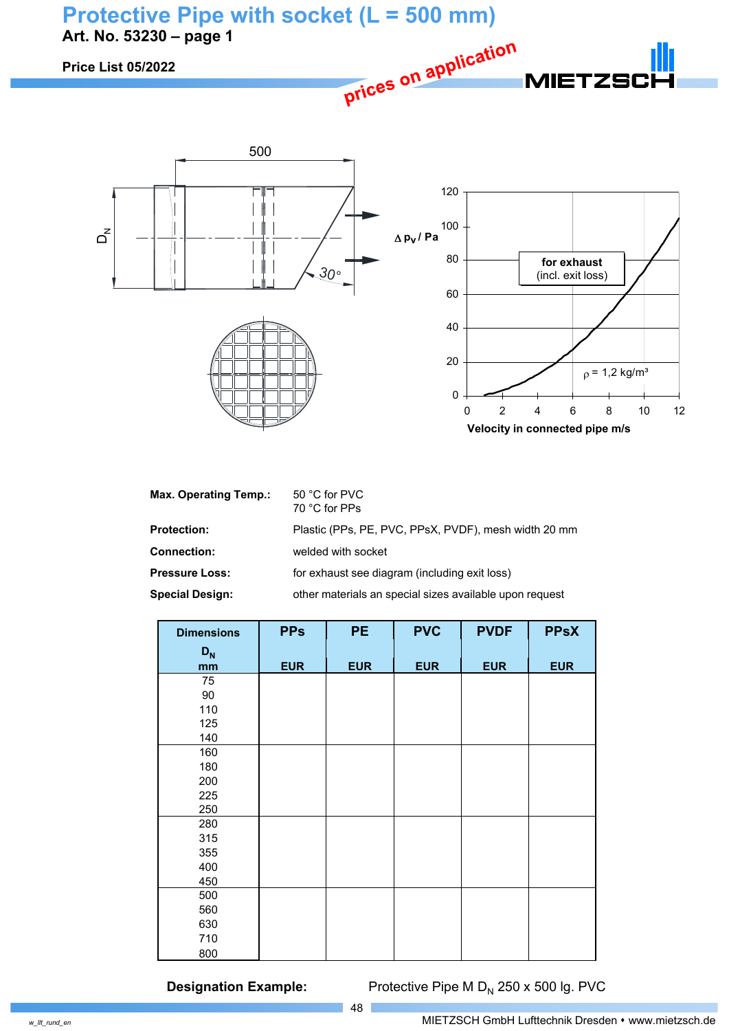

| <b>Max. Operating Temp.:</b> | 50 °C for PVC<br>70 °C for PPs                          |
|------------------------------|---------------------------------------------------------|
| <b>Protection:</b>           | Plastic (PPs, PE, PVC, PPsX, PVDF), mesh width 20 mm    |
| <b>Connection:</b>           | welded with socket                                      |
| <b>Pressure Loss:</b>        | for exhaust see diagram (including exit loss)           |
| <b>Special Design:</b>       | other materials an special sizes available upon request |

0

0 2 4 6 8 10 12

**Velocity in connected pipe m/s** 

| <b>Dimensions</b> | <b>PPs</b> | <b>PE</b>  | <b>PVC</b> | <b>PVDF</b> | <b>PPsX</b> |
|-------------------|------------|------------|------------|-------------|-------------|
| $D_{N}$           |            |            |            |             |             |
| mm                | <b>EUR</b> | <b>EUR</b> | <b>EUR</b> | <b>EUR</b>  | <b>EUR</b>  |
| 75                |            |            |            |             |             |
| 90                |            |            |            |             |             |
| 110               |            |            |            |             |             |
| 125               |            |            |            |             |             |
| 140               |            |            |            |             |             |
| 160               |            |            |            |             |             |
| 180               |            |            |            |             |             |
| 200               |            |            |            |             |             |
| 225               |            |            |            |             |             |
| 250               |            |            |            |             |             |
| 280               |            |            |            |             |             |
| 315               |            |            |            |             |             |
| 355               |            |            |            |             |             |
| 400               |            |            |            |             |             |
| 450               |            |            |            |             |             |
| 500               |            |            |            |             |             |
| 560               |            |            |            |             |             |
| 630               |            |            |            |             |             |
| 710               |            |            |            |             |             |
| 800               |            |            |            |             |             |

48

**Designation Example:** Protective Pipe M D<sub>N</sub> 250 x 500 lg. PVC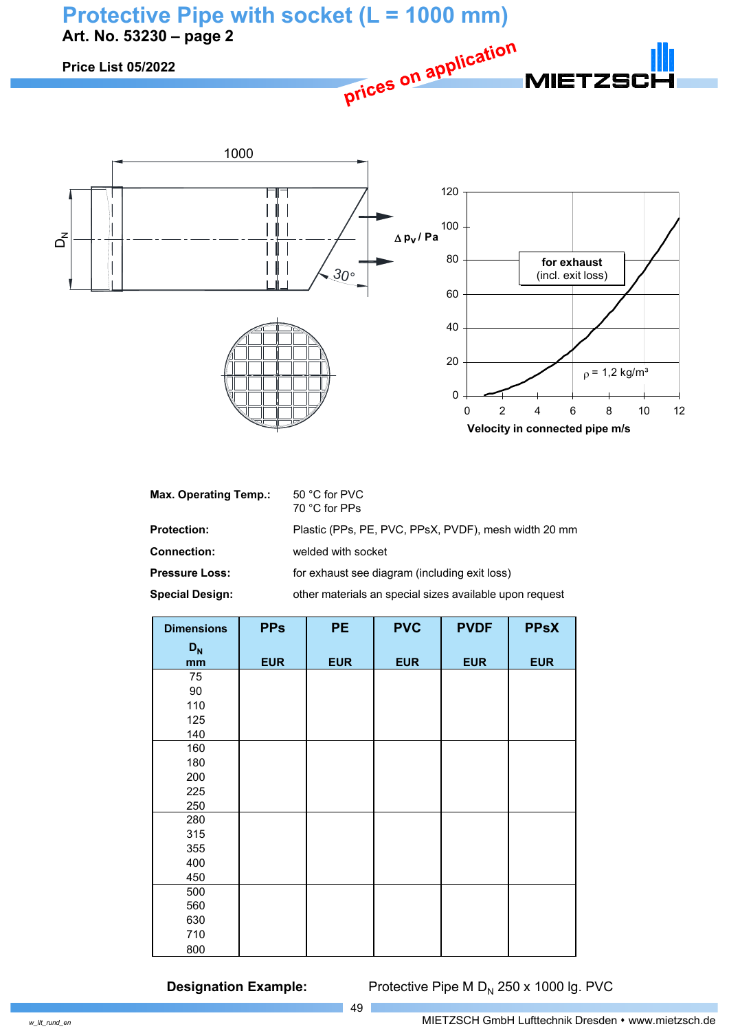



| 50 °C for PVC<br>70 °C for PPs                          |
|---------------------------------------------------------|
| Plastic (PPs, PE, PVC, PPsX, PVDF), mesh width 20 mm    |
| welded with socket                                      |
| for exhaust see diagram (including exit loss)           |
| other materials an special sizes available upon request |
|                                                         |

| <b>Dimensions</b> | <b>PPs</b> | <b>PE</b>  | <b>PVC</b> | <b>PVDF</b> | <b>PPsX</b> |
|-------------------|------------|------------|------------|-------------|-------------|
| $D_{N}$           |            |            |            |             |             |
| mm                | <b>EUR</b> | <b>EUR</b> | <b>EUR</b> | <b>EUR</b>  | <b>EUR</b>  |
| 75                |            |            |            |             |             |
| 90                |            |            |            |             |             |
| 110               |            |            |            |             |             |
| 125               |            |            |            |             |             |
| 140               |            |            |            |             |             |
| 160               |            |            |            |             |             |
| 180               |            |            |            |             |             |
| 200               |            |            |            |             |             |
| 225               |            |            |            |             |             |
| 250               |            |            |            |             |             |
| 280               |            |            |            |             |             |
| 315               |            |            |            |             |             |
| 355               |            |            |            |             |             |
| 400               |            |            |            |             |             |
| 450               |            |            |            |             |             |
| 500               |            |            |            |             |             |
| 560               |            |            |            |             |             |
| 630               |            |            |            |             |             |
| 710               |            |            |            |             |             |
| 800               |            |            |            |             |             |

49

**Designation Example:** Protective Pipe M D<sub>N</sub> 250 x 1000 lg. PVC

 $\vec{d}$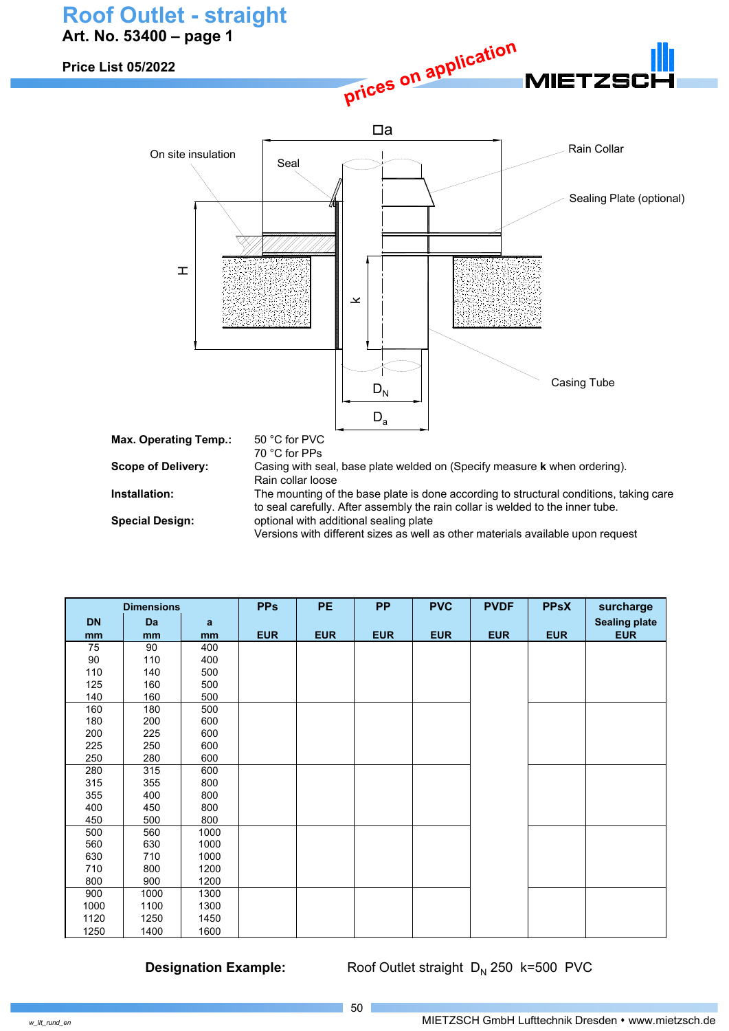## **Roof Outlet - straight Art. No. 53400 – page 1**

On site insulation

**Price List 05/2022**





| <b>Dimensions</b> |      |      | <b>PPs</b> | PE         | <b>PP</b>  | <b>PVC</b> | <b>PVDF</b> | <b>PPsX</b> | surcharge            |
|-------------------|------|------|------------|------------|------------|------------|-------------|-------------|----------------------|
| <b>DN</b>         | Da   | a    |            |            |            |            |             |             | <b>Sealing plate</b> |
| mm                | mm   | mm   | <b>EUR</b> | <b>EUR</b> | <b>EUR</b> | <b>EUR</b> | <b>EUR</b>  | <b>EUR</b>  | <b>EUR</b>           |
| 75                | 90   | 400  |            |            |            |            |             |             |                      |
| 90                | 110  | 400  |            |            |            |            |             |             |                      |
| 110               | 140  | 500  |            |            |            |            |             |             |                      |
| 125               | 160  | 500  |            |            |            |            |             |             |                      |
| 140               | 160  | 500  |            |            |            |            |             |             |                      |
| 160               | 180  | 500  |            |            |            |            |             |             |                      |
| 180               | 200  | 600  |            |            |            |            |             |             |                      |
| 200               | 225  | 600  |            |            |            |            |             |             |                      |
| 225               | 250  | 600  |            |            |            |            |             |             |                      |
| 250               | 280  | 600  |            |            |            |            |             |             |                      |
| 280               | 315  | 600  |            |            |            |            |             |             |                      |
| 315               | 355  | 800  |            |            |            |            |             |             |                      |
| 355               | 400  | 800  |            |            |            |            |             |             |                      |
| 400               | 450  | 800  |            |            |            |            |             |             |                      |
| 450               | 500  | 800  |            |            |            |            |             |             |                      |
| 500               | 560  | 1000 |            |            |            |            |             |             |                      |
| 560               | 630  | 1000 |            |            |            |            |             |             |                      |
| 630               | 710  | 1000 |            |            |            |            |             |             |                      |
| 710               | 800  | 1200 |            |            |            |            |             |             |                      |
| 800               | 900  | 1200 |            |            |            |            |             |             |                      |
| 900               | 1000 | 1300 |            |            |            |            |             |             |                      |
| 1000              | 1100 | 1300 |            |            |            |            |             |             |                      |
| 1120              | 1250 | 1450 |            |            |            |            |             |             |                      |
| 1250              | 1400 | 1600 |            |            |            |            |             |             |                      |

**Designation Example:** Roof Outlet straight D<sub>N</sub> 250 k=500 PVC